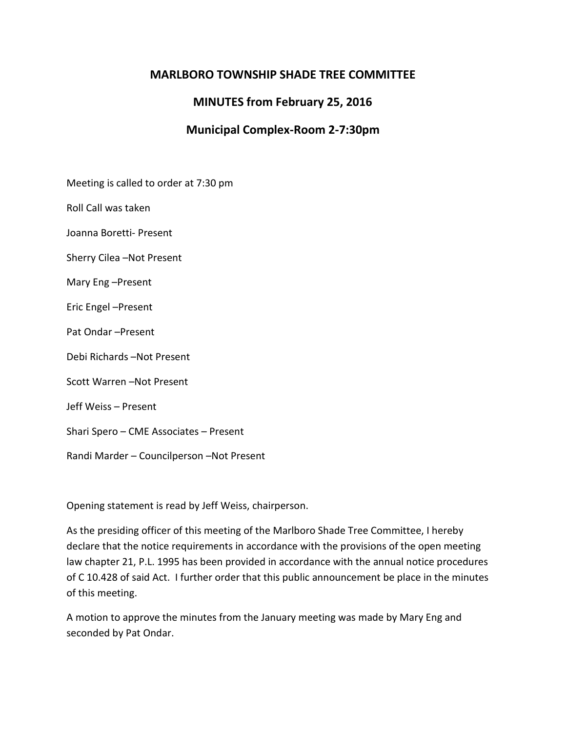# **MARLBORO TOWNSHIP SHADE TREE COMMITTEE**

# **MINUTES from February 25, 2016**

## **Municipal Complex-Room 2-7:30pm**

Meeting is called to order at 7:30 pm

Roll Call was taken

Joanna Boretti- Present

Sherry Cilea –Not Present

Mary Eng –Present

Eric Engel –Present

Pat Ondar –Present

Debi Richards –Not Present

Scott Warren –Not Present

Jeff Weiss – Present

Shari Spero – CME Associates – Present

Randi Marder – Councilperson –Not Present

Opening statement is read by Jeff Weiss, chairperson.

As the presiding officer of this meeting of the Marlboro Shade Tree Committee, I hereby declare that the notice requirements in accordance with the provisions of the open meeting law chapter 21, P.L. 1995 has been provided in accordance with the annual notice procedures of C 10.428 of said Act. I further order that this public announcement be place in the minutes of this meeting.

A motion to approve the minutes from the January meeting was made by Mary Eng and seconded by Pat Ondar.